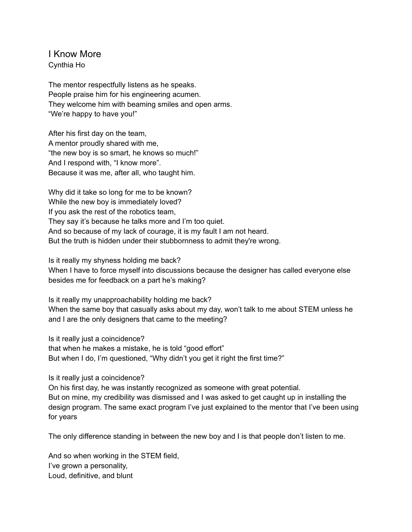## I Know More

Cynthia Ho

The mentor respectfully listens as he speaks. People praise him for his engineering acumen. They welcome him with beaming smiles and open arms. "We're happy to have you!"

After his first day on the team, A mentor proudly shared with me, "the new boy is so smart, he knows so much!" And I respond with, "I know more". Because it was me, after all, who taught him.

Why did it take so long for me to be known? While the new boy is immediately loved? If you ask the rest of the robotics team, They say it's because he talks more and I'm too quiet. And so because of my lack of courage, it is my fault I am not heard. But the truth is hidden under their stubbornness to admit they're wrong.

Is it really my shyness holding me back?

When I have to force myself into discussions because the designer has called everyone else besides me for feedback on a part he's making?

Is it really my unapproachability holding me back? When the same boy that casually asks about my day, won't talk to me about STEM unless he and I are the only designers that came to the meeting?

Is it really just a coincidence?

that when he makes a mistake, he is told "good effort" But when I do, I'm questioned, "Why didn't you get it right the first time?"

Is it really just a coincidence?

On his first day, he was instantly recognized as someone with great potential. But on mine, my credibility was dismissed and I was asked to get caught up in installing the design program. The same exact program I've just explained to the mentor that I've been using for years

The only difference standing in between the new boy and I is that people don't listen to me.

And so when working in the STEM field, I've grown a personality, Loud, definitive, and blunt